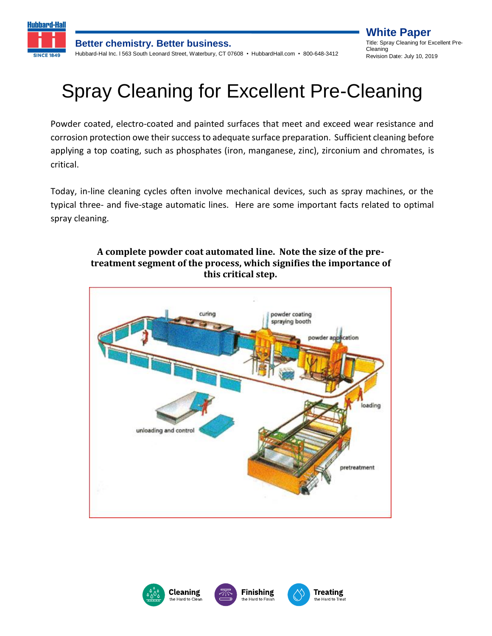

**White Paper** Title: Spray Cleaning for Excellent Pre-Cleaning Revision Date: July 10, 2019

# Spray Cleaning for Excellent Pre-Cleaning

Powder coated, electro-coated and painted surfaces that meet and exceed wear resistance and corrosion protection owe their success to adequate surface preparation. Sufficient cleaning before applying a top coating, such as phosphates (iron, manganese, zinc), zirconium and chromates, is critical.

Today, in-line cleaning cycles often involve mechanical devices, such as spray machines, or the typical three- and five-stage automatic lines. Here are some important facts related to optimal spray cleaning.

#### **A complete powder coat automated line. Note the size of the pretreatment segment of the process, which signifies the importance of this critical step.**



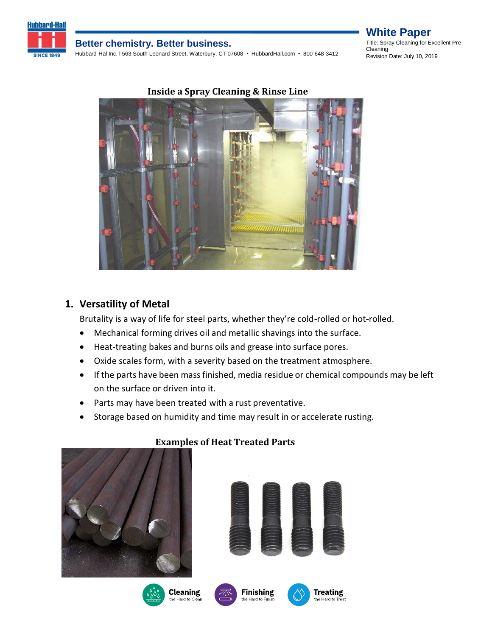

#### **Better chemistry. Better business.**

Hubbard-Hal Inc. l 563 South Leonard Street, Waterbury, CT 07608 • HubbardHall.com • 800-648-3412

#### **White Paper** Title: Spray Cleaning for Excellent Pre-Cleaning Revision Date: July 10, 2019



### **1. Versatility of Metal**

Brutality is a way of life for steel parts, whether they're cold-rolled or hot-rolled.

- Mechanical forming drives oil and metallic shavings into the surface.
- Heat-treating bakes and burns oils and grease into surface pores.
- Oxide scales form, with a severity based on the treatment atmosphere.
- If the parts have been mass finished, media residue or chemical compounds may be left on the surface or driven into it.
- Parts may have been treated with a rust preventative.
- Storage based on humidity and time may result in or accelerate rusting.



#### **Examples of Heat Treated Parts**











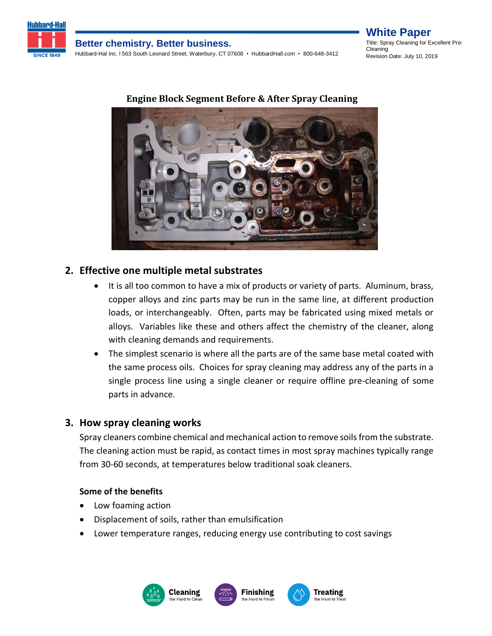

### **Better chemistry. Better business.**

Hubbard-Hal Inc. l 563 South Leonard Street, Waterbury, CT 07608 • HubbardHall.com • 800-648-3412

**White Paper** Title: Spray Cleaning for Excellent Pre-Cleaning Revision Date: July 10, 2019



#### **Engine Block Segment Before & After Spray Cleaning**

#### **2. Effective one multiple metal substrates**

- It is all too common to have a mix of products or variety of parts. Aluminum, brass, copper alloys and zinc parts may be run in the same line, at different production loads, or interchangeably. Often, parts may be fabricated using mixed metals or alloys. Variables like these and others affect the chemistry of the cleaner, along with cleaning demands and requirements.
- The simplest scenario is where all the parts are of the same base metal coated with the same process oils. Choices for spray cleaning may address any of the parts in a single process line using a single cleaner or require offline pre-cleaning of some parts in advance.

#### **3. How spray cleaning works**

Spray cleaners combine chemical and mechanical action to remove soils from the substrate. The cleaning action must be rapid, as contact times in most spray machines typically range from 30-60 seconds, at temperatures below traditional soak cleaners.

#### **Some of the benefits**

- Low foaming action
- Displacement of soils, rather than emulsification
- Lower temperature ranges, reducing energy use contributing to cost savings

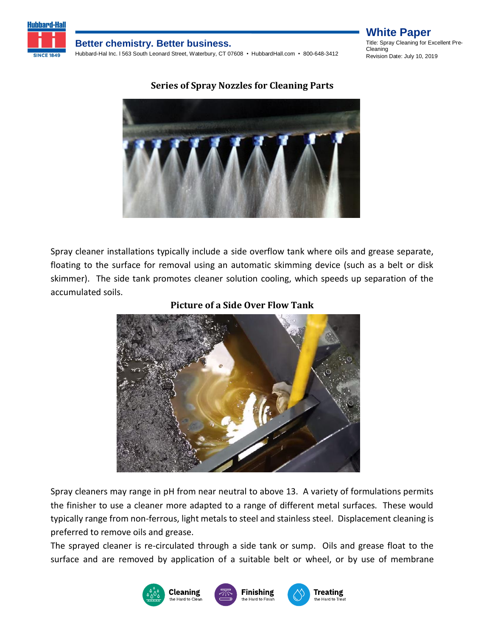

#### **Better chemistry. Better business.**

Hubbard-Hal Inc. l 563 South Leonard Street, Waterbury, CT 07608 • HubbardHall.com • 800-648-3412

#### **White Paper** Title: Spray Cleaning for Excellent Pre-Cleaning Revision Date: July 10, 2019

### **Series of Spray Nozzles for Cleaning Parts**



Spray cleaner installations typically include a side overflow tank where oils and grease separate, floating to the surface for removal using an automatic skimming device (such as a belt or disk skimmer). The side tank promotes cleaner solution cooling, which speeds up separation of the accumulated soils.

#### **Picture of a Side Over Flow Tank**



Spray cleaners may range in pH from near neutral to above 13. A variety of formulations permits the finisher to use a cleaner more adapted to a range of different metal surfaces. These would typically range from non-ferrous, light metals to steel and stainless steel. Displacement cleaning is preferred to remove oils and grease.

The sprayed cleaner is re-circulated through a side tank or sump. Oils and grease float to the surface and are removed by application of a suitable belt or wheel, or by use of membrane

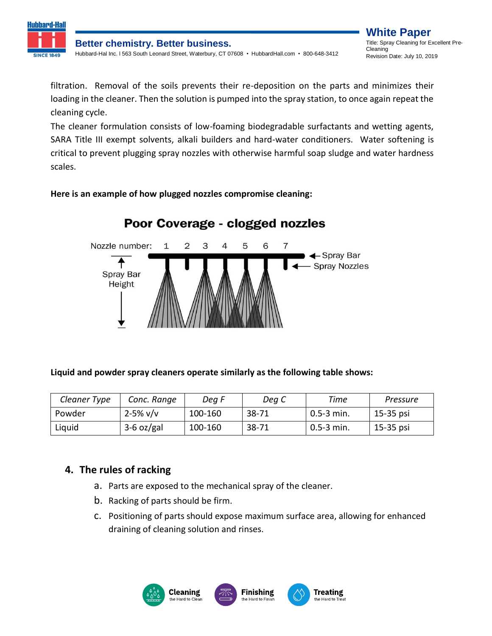

filtration. Removal of the soils prevents their re-deposition on the parts and minimizes their loading in the cleaner. Then the solution is pumped into the spray station, to once again repeat the cleaning cycle.

The cleaner formulation consists of low-foaming biodegradable surfactants and wetting agents, SARA Title III exempt solvents, alkali builders and hard-water conditioners. Water softening is critical to prevent plugging spray nozzles with otherwise harmful soap sludge and water hardness scales.

#### **Here is an example of how plugged nozzles compromise cleaning:**



## Poor Coverage - clogged nozzles

**Liquid and powder spray cleaners operate similarly as the following table shows:**

| Cleaner Type | Conc. Range   | Deg F   | Deg C     | Time           | Pressure  |
|--------------|---------------|---------|-----------|----------------|-----------|
| Powder       | $2 - 5\%$ v/v | 100-160 | $38 - 71$ | $0.5-3$ min.   | 15-35 psi |
| Liquid       | $3-6$ oz/gal  | 100-160 | $38 - 71$ | $0.5 - 3$ min. | 15-35 psi |

### **4. The rules of racking**

- a. Parts are exposed to the mechanical spray of the cleaner.
- b. Racking of parts should be firm.
- c. Positioning of parts should expose maximum surface area, allowing for enhanced draining of cleaning solution and rinses.

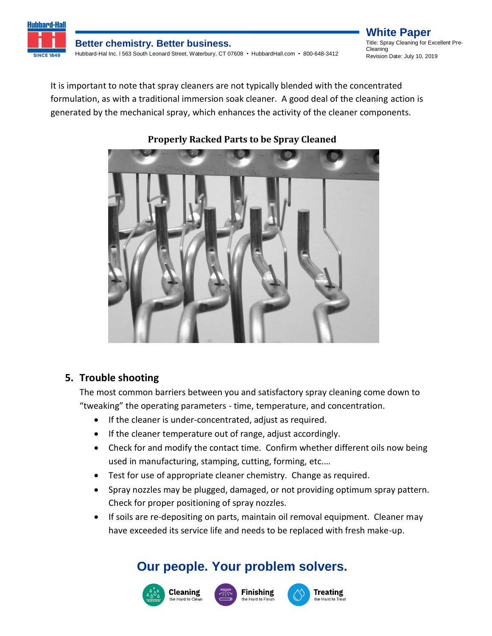

#### **Better chemistry. Better business.** Hubbard-Hal Inc. l 563 South Leonard Street, Waterbury, CT 07608 • HubbardHall.com • 800-648-3412

**White Paper** Title: Spray Cleaning for Excellent Pre-Cleaning Revision Date: July 10, 2019

It is important to note that spray cleaners are not typically blended with the concentrated formulation, as with a traditional immersion soak cleaner. A good deal of the cleaning action is generated by the mechanical spray, which enhances the activity of the cleaner components.



### **Properly Racked Parts to be Spray Cleaned**

### **5. Trouble shooting**

The most common barriers between you and satisfactory spray cleaning come down to "tweaking" the operating parameters - time, temperature, and concentration.

- If the cleaner is under-concentrated, adjust as required.
- If the cleaner temperature out of range, adjust accordingly.
- Check for and modify the contact time. Confirm whether different oils now being used in manufacturing, stamping, cutting, forming, etc.…
- Test for use of appropriate cleaner chemistry. Change as required.
- Spray nozzles may be plugged, damaged, or not providing optimum spray pattern. Check for proper positioning of spray nozzles.
- If soils are re-depositing on parts, maintain oil removal equipment. Cleaner may have exceeded its service life and needs to be replaced with fresh make-up.

# **Our people. Your problem solvers.**





**Treating** 

the Hard to Tre